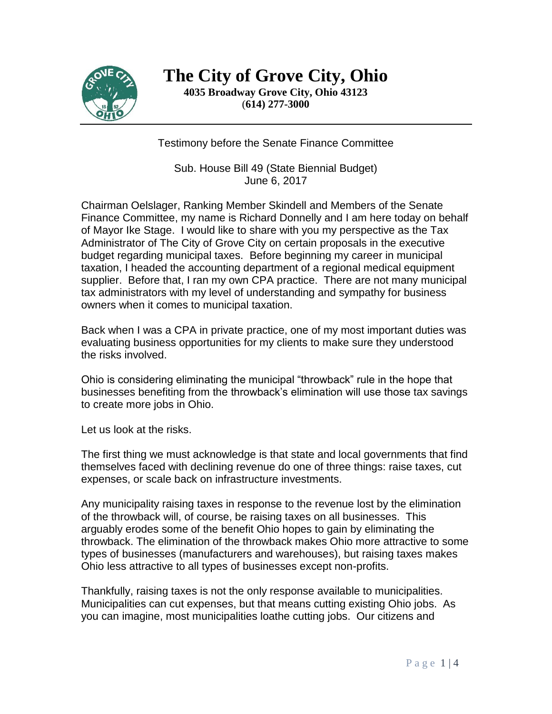

**The City of Grove City, Ohio 4035 Broadway Grove City, Ohio 43123** (**614) 277-3000**

Testimony before the Senate Finance Committee

Sub. House Bill 49 (State Biennial Budget) June 6, 2017

Chairman Oelslager, Ranking Member Skindell and Members of the Senate Finance Committee, my name is Richard Donnelly and I am here today on behalf of Mayor Ike Stage. I would like to share with you my perspective as the Tax Administrator of The City of Grove City on certain proposals in the executive budget regarding municipal taxes. Before beginning my career in municipal taxation, I headed the accounting department of a regional medical equipment supplier. Before that, I ran my own CPA practice. There are not many municipal tax administrators with my level of understanding and sympathy for business owners when it comes to municipal taxation.

Back when I was a CPA in private practice, one of my most important duties was evaluating business opportunities for my clients to make sure they understood the risks involved.

Ohio is considering eliminating the municipal "throwback" rule in the hope that businesses benefiting from the throwback's elimination will use those tax savings to create more jobs in Ohio.

Let us look at the risks.

The first thing we must acknowledge is that state and local governments that find themselves faced with declining revenue do one of three things: raise taxes, cut expenses, or scale back on infrastructure investments.

Any municipality raising taxes in response to the revenue lost by the elimination of the throwback will, of course, be raising taxes on all businesses. This arguably erodes some of the benefit Ohio hopes to gain by eliminating the throwback. The elimination of the throwback makes Ohio more attractive to some types of businesses (manufacturers and warehouses), but raising taxes makes Ohio less attractive to all types of businesses except non-profits.

Thankfully, raising taxes is not the only response available to municipalities. Municipalities can cut expenses, but that means cutting existing Ohio jobs. As you can imagine, most municipalities loathe cutting jobs. Our citizens and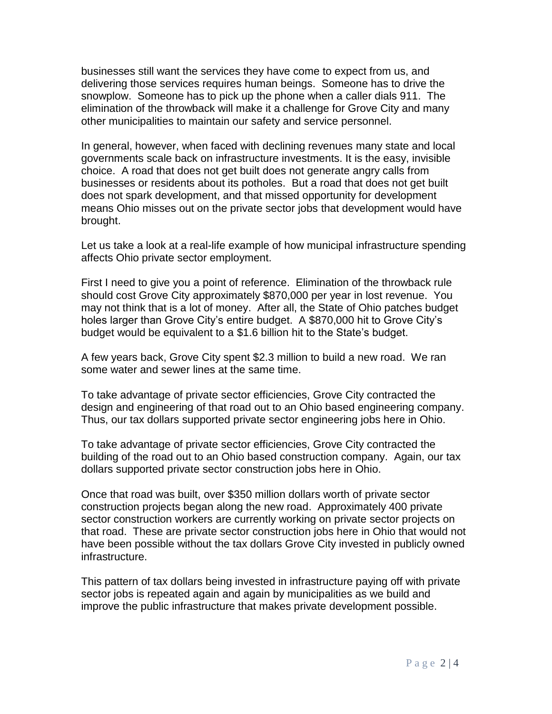businesses still want the services they have come to expect from us, and delivering those services requires human beings. Someone has to drive the snowplow. Someone has to pick up the phone when a caller dials 911. The elimination of the throwback will make it a challenge for Grove City and many other municipalities to maintain our safety and service personnel.

In general, however, when faced with declining revenues many state and local governments scale back on infrastructure investments. It is the easy, invisible choice. A road that does not get built does not generate angry calls from businesses or residents about its potholes. But a road that does not get built does not spark development, and that missed opportunity for development means Ohio misses out on the private sector jobs that development would have brought.

Let us take a look at a real-life example of how municipal infrastructure spending affects Ohio private sector employment.

First I need to give you a point of reference. Elimination of the throwback rule should cost Grove City approximately \$870,000 per year in lost revenue. You may not think that is a lot of money. After all, the State of Ohio patches budget holes larger than Grove City's entire budget. A \$870,000 hit to Grove City's budget would be equivalent to a \$1.6 billion hit to the State's budget.

A few years back, Grove City spent \$2.3 million to build a new road. We ran some water and sewer lines at the same time.

To take advantage of private sector efficiencies, Grove City contracted the design and engineering of that road out to an Ohio based engineering company. Thus, our tax dollars supported private sector engineering jobs here in Ohio.

To take advantage of private sector efficiencies, Grove City contracted the building of the road out to an Ohio based construction company. Again, our tax dollars supported private sector construction jobs here in Ohio.

Once that road was built, over \$350 million dollars worth of private sector construction projects began along the new road. Approximately 400 private sector construction workers are currently working on private sector projects on that road. These are private sector construction jobs here in Ohio that would not have been possible without the tax dollars Grove City invested in publicly owned infrastructure.

This pattern of tax dollars being invested in infrastructure paying off with private sector jobs is repeated again and again by municipalities as we build and improve the public infrastructure that makes private development possible.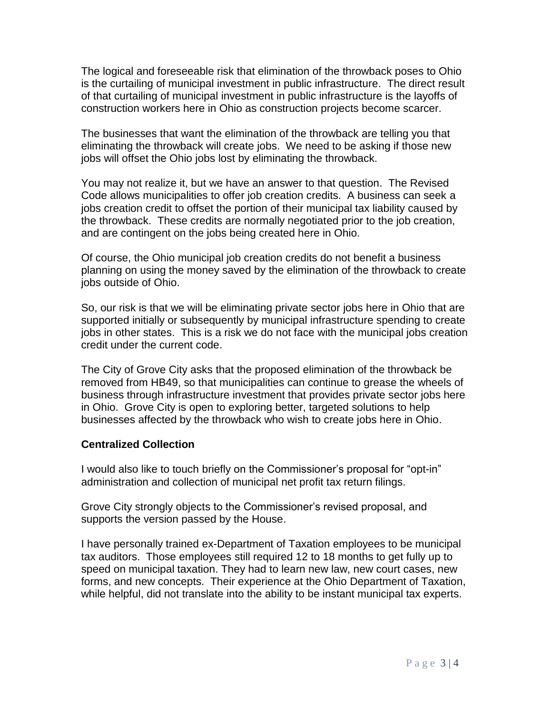The logical and foreseeable risk that elimination of the throwback poses to Ohio is the curtailing of municipal investment in public infrastructure. The direct result of that curtailing of municipal investment in public infrastructure is the layoffs of construction workers here in Ohio as construction projects become scarcer.

The businesses that want the elimination of the throwback are telling you that eliminating the throwback will create jobs. We need to be asking if those new jobs will offset the Ohio jobs lost by eliminating the throwback.

You may not realize it, but we have an answer to that question. The Revised Code allows municipalities to offer job creation credits. A business can seek a jobs creation credit to offset the portion of their municipal tax liability caused by the throwback. These credits are normally negotiated prior to the job creation, and are contingent on the jobs being created here in Ohio.

Of course, the Ohio municipal job creation credits do not benefit a business planning on using the money saved by the elimination of the throwback to create jobs outside of Ohio.

So, our risk is that we will be eliminating private sector jobs here in Ohio that are supported initially or subsequently by municipal infrastructure spending to create jobs in other states. This is a risk we do not face with the municipal jobs creation credit under the current code.

The City of Grove City asks that the proposed elimination of the throwback be removed from HB49, so that municipalities can continue to grease the wheels of business through infrastructure investment that provides private sector jobs here in Ohio. Grove City is open to exploring better, targeted solutions to help businesses affected by the throwback who wish to create jobs here in Ohio.

## **Centralized Collection**

I would also like to touch briefly on the Commissioner's proposal for "opt-in" administration and collection of municipal net profit tax return filings.

Grove City strongly objects to the Commissioner's revised proposal, and supports the version passed by the House.

I have personally trained ex-Department of Taxation employees to be municipal tax auditors. Those employees still required 12 to 18 months to get fully up to speed on municipal taxation. They had to learn new law, new court cases, new forms, and new concepts. Their experience at the Ohio Department of Taxation, while helpful, did not translate into the ability to be instant municipal tax experts.